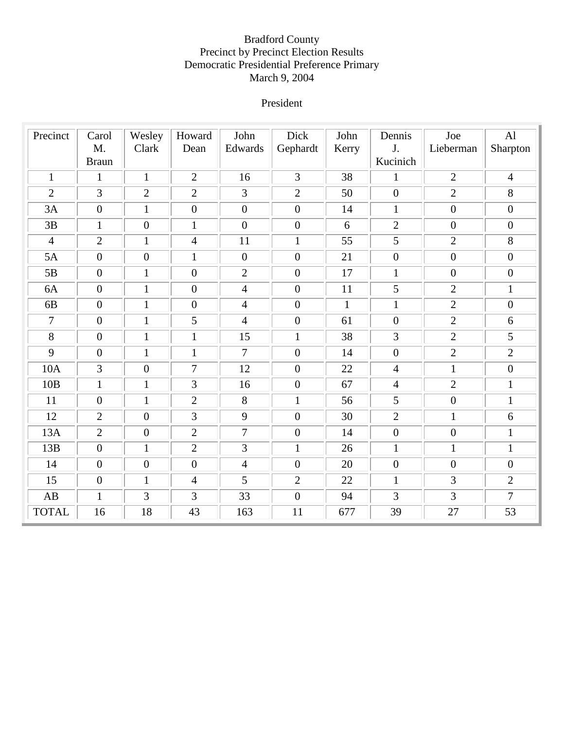## Bradford County Precinct by Precinct Election Results Democratic Presidential Preference Primary March 9, 2004

### President

| Precinct               | Carol            | Wesley           | Howard           | John           | Dick             | John         | Dennis           | Joe              | AI               |
|------------------------|------------------|------------------|------------------|----------------|------------------|--------------|------------------|------------------|------------------|
|                        | M.               | Clark            | Dean             | Edwards        | Gephardt         | Kerry        | J.               | Lieberman        | Sharpton         |
|                        | <b>Braun</b>     |                  |                  |                |                  |              | Kucinich         |                  |                  |
| $\mathbf{1}$           | $\mathbf{1}$     | $\mathbf{1}$     | 2                | 16             | $\overline{3}$   | 38           | $\mathbf{1}$     | $\overline{2}$   | $\overline{4}$   |
| $\overline{2}$         | $\overline{3}$   | $\overline{2}$   | $\overline{2}$   | $\overline{3}$ | $\overline{2}$   | 50           | $\mathbf{0}$     | $\overline{2}$   | 8                |
| 3A                     | $\overline{0}$   | $\mathbf{1}$     | $\boldsymbol{0}$ | $\overline{0}$ | $\mathbf{0}$     | 14           | $\mathbf{1}$     | $\boldsymbol{0}$ | $\boldsymbol{0}$ |
| 3B                     | $\mathbf{1}$     | $\overline{0}$   | $\mathbf{1}$     | $\overline{0}$ | $\boldsymbol{0}$ | 6            | $\overline{2}$   | $\mathbf{0}$     | $\boldsymbol{0}$ |
| $\overline{4}$         | $\overline{2}$   | $\mathbf{1}$     | $\overline{4}$   | 11             | $\mathbf{1}$     | 55           | 5                | $\overline{2}$   | 8                |
| 5A                     | $\boldsymbol{0}$ | $\boldsymbol{0}$ | $\mathbf{1}$     | $\overline{0}$ | $\boldsymbol{0}$ | 21           | $\boldsymbol{0}$ | $\boldsymbol{0}$ | $\boldsymbol{0}$ |
| 5B                     | $\boldsymbol{0}$ | $\mathbf{1}$     | $\boldsymbol{0}$ | $\overline{2}$ | $\boldsymbol{0}$ | 17           | $\mathbf{1}$     | $\boldsymbol{0}$ | $\boldsymbol{0}$ |
| 6A                     | $\boldsymbol{0}$ | $\mathbf{1}$     | $\boldsymbol{0}$ | $\overline{4}$ | $\boldsymbol{0}$ | 11           | $\mathfrak{S}$   | $\overline{2}$   | $\mathbf{1}$     |
| 6B                     | $\boldsymbol{0}$ | $\mathbf{1}$     | $\boldsymbol{0}$ | $\overline{4}$ | $\boldsymbol{0}$ | $\mathbf{1}$ | $\mathbf{1}$     | $\overline{2}$   | $\boldsymbol{0}$ |
| $\tau$                 | $\boldsymbol{0}$ | $\mathbf{1}$     | 5                | $\overline{4}$ | $\boldsymbol{0}$ | 61           | $\boldsymbol{0}$ | $\overline{2}$   | 6                |
| $8\,$                  | $\boldsymbol{0}$ | $\mathbf{1}$     | $\mathbf{1}$     | 15             | $\mathbf{1}$     | 38           | 3                | $\overline{2}$   | 5                |
| 9                      | $\boldsymbol{0}$ | $\mathbf{1}$     | $\mathbf{1}$     | $\tau$         | $\boldsymbol{0}$ | 14           | $\boldsymbol{0}$ | $\overline{2}$   | $\overline{2}$   |
| 10A                    | 3                | $\overline{0}$   | $\overline{7}$   | 12             | $\boldsymbol{0}$ | 22           | $\overline{4}$   | $\mathbf{1}$     | $\boldsymbol{0}$ |
| 10B                    | $\mathbf{1}$     | $\mathbf{1}$     | 3                | 16             | $\mathbf{0}$     | 67           | $\overline{4}$   | $\overline{2}$   | $\mathbf{1}$     |
| 11                     | $\boldsymbol{0}$ | $\mathbf{1}$     | $\overline{2}$   | 8              | $\mathbf{1}$     | 56           | 5                | $\boldsymbol{0}$ | $\mathbf{1}$     |
| 12                     | $\overline{2}$   | $\boldsymbol{0}$ | 3                | 9              | $\mathbf{0}$     | 30           | $\overline{2}$   | $\mathbf{1}$     | 6                |
| 13A                    | $\overline{2}$   | $\overline{0}$   | $\overline{2}$   | $\overline{7}$ | $\boldsymbol{0}$ | 14           | $\mathbf{0}$     | $\boldsymbol{0}$ | $\mathbf{1}$     |
| 13B                    | $\boldsymbol{0}$ | $\mathbf{1}$     | $\overline{2}$   | 3              | $\mathbf{1}$     | 26           | $\mathbf{1}$     | $\mathbf{1}$     | $\mathbf{1}$     |
| 14                     | $\boldsymbol{0}$ | $\boldsymbol{0}$ | $\boldsymbol{0}$ | $\overline{4}$ | $\boldsymbol{0}$ | 20           | $\boldsymbol{0}$ | $\boldsymbol{0}$ | $\boldsymbol{0}$ |
| 15                     | $\boldsymbol{0}$ | $\mathbf{1}$     | $\overline{4}$   | 5              | $\overline{2}$   | 22           | $\mathbf{1}$     | 3                | $\overline{2}$   |
| $\mathbf{A}\mathbf{B}$ | $\mathbf{1}$     | 3                | 3                | 33             | $\boldsymbol{0}$ | 94           | 3                | 3                | $\overline{7}$   |
| <b>TOTAL</b>           | 16               | 18               | 43               | 163            | 11               | 677          | 39               | 27               | 53               |